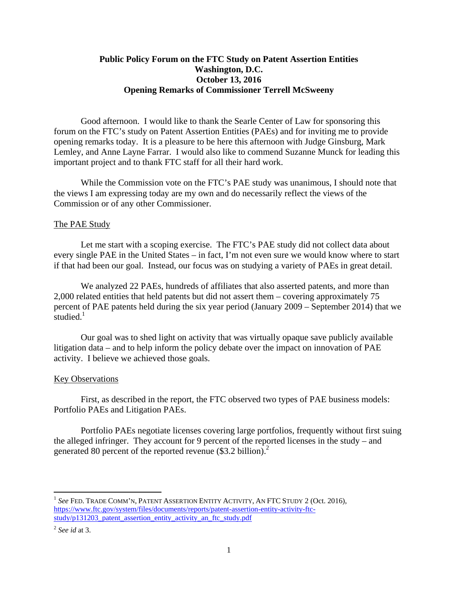# **Public Policy Forum on the FTC Study on Patent Assertion Entities Washington, D.C. October 13, 2016 Opening Remarks of Commissioner Terrell McSweeny**

Good afternoon. I would like to thank the Searle Center of Law for sponsoring this forum on the FTC's study on Patent Assertion Entities (PAEs) and for inviting me to provide opening remarks today. It is a pleasure to be here this afternoon with Judge Ginsburg, Mark Lemley, and Anne Layne Farrar. I would also like to commend Suzanne Munck for leading this important project and to thank FTC staff for all their hard work.

While the Commission vote on the FTC's PAE study was unanimous, I should note that the views I am expressing today are my own and do necessarily reflect the views of the Commission or of any other Commissioner.

### The PAE Study

Let me start with a scoping exercise. The FTC's PAE study did not collect data about every single PAE in the United States – in fact, I'm not even sure we would know where to start if that had been our goal. Instead, our focus was on studying a variety of PAEs in great detail.

We analyzed 22 PAEs, hundreds of affiliates that also asserted patents, and more than 2,000 related entities that held patents but did not assert them – covering approximately 75 percent of PAE patents held during the six year period (January 2009 – September 2014) that we studied. $1$ 

Our goal was to shed light on activity that was virtually opaque save publicly available litigation data – and to help inform the policy debate over the impact on innovation of PAE activity. I believe we achieved those goals.

#### Key Observations

First, as described in the report, the FTC observed two types of PAE business models: Portfolio PAEs and Litigation PAEs.

Portfolio PAEs negotiate licenses covering large portfolios, frequently without first suing the alleged infringer. They account for 9 percent of the reported licenses in the study – and generated 80 percent of the reported revenue (\$3.2 billion).<sup>2</sup>

 $\overline{a}$ 

 study/p131203\_patent\_assertion\_entity\_activity\_an\_ftc\_study.pdf 2 *See id* at 3. <sup>1</sup> See FED. TRADE COMM'N, PATENT ASSERTION ENTITY ACTIVITY, AN FTC STUDY 2 (Oct. 2016), https://www.ftc.gov/system/files/documents/reports/patent-assertion-entity-activity-ftc-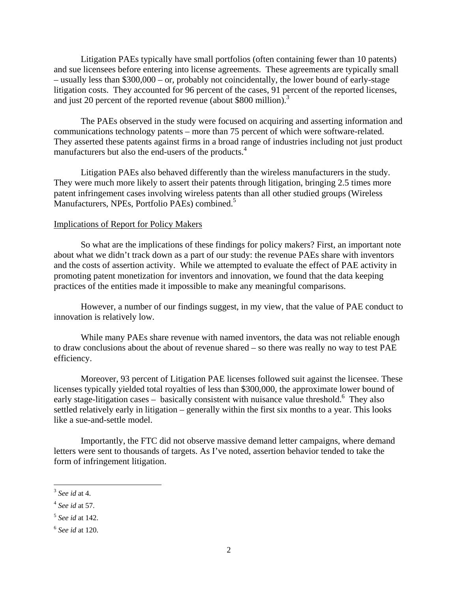Litigation PAEs typically have small portfolios (often containing fewer than 10 patents) and sue licensees before entering into license agreements. These agreements are typically small – usually less than \$300,000 – or, probably not coincidentally, the lower bound of early-stage litigation costs. They accounted for 96 percent of the cases, 91 percent of the reported licenses, and just 20 percent of the reported revenue (about \$800 million).<sup>3</sup>

 manufacturers but also the end-users of the products.4 The PAEs observed in the study were focused on acquiring and asserting information and communications technology patents – more than 75 percent of which were software-related. They asserted these patents against firms in a broad range of industries including not just product

Manufacturers, NPEs, Portfolio PAEs) combined.<sup>5</sup> Litigation PAEs also behaved differently than the wireless manufacturers in the study. They were much more likely to assert their patents through litigation, bringing 2.5 times more patent infringement cases involving wireless patents than all other studied groups (Wireless

#### Implications of Report for Policy Makers

So what are the implications of these findings for policy makers? First, an important note about what we didn't track down as a part of our study: the revenue PAEs share with inventors and the costs of assertion activity. While we attempted to evaluate the effect of PAE activity in promoting patent monetization for inventors and innovation, we found that the data keeping practices of the entities made it impossible to make any meaningful comparisons.

However, a number of our findings suggest, in my view, that the value of PAE conduct to innovation is relatively low.

While many PAEs share revenue with named inventors, the data was not reliable enough to draw conclusions about the about of revenue shared – so there was really no way to test PAE efficiency.

Moreover, 93 percent of Litigation PAE licenses followed suit against the licensee. These licenses typically yielded total royalties of less than \$300,000, the approximate lower bound of early stage-litigation cases – basically consistent with nuisance value threshold.<sup>6</sup> They also settled relatively early in litigation – generally within the first six months to a year. This looks like a sue-and-settle model.

Importantly, the FTC did not observe massive demand letter campaigns, where demand letters were sent to thousands of targets. As I've noted, assertion behavior tended to take the form of infringement litigation.

 $\overline{a}$ 

<sup>3</sup>*See id* at 4.

<sup>4</sup>*See id* at 57.

<sup>5</sup>*See id* at 142.

<sup>6</sup>*See id* at 120.